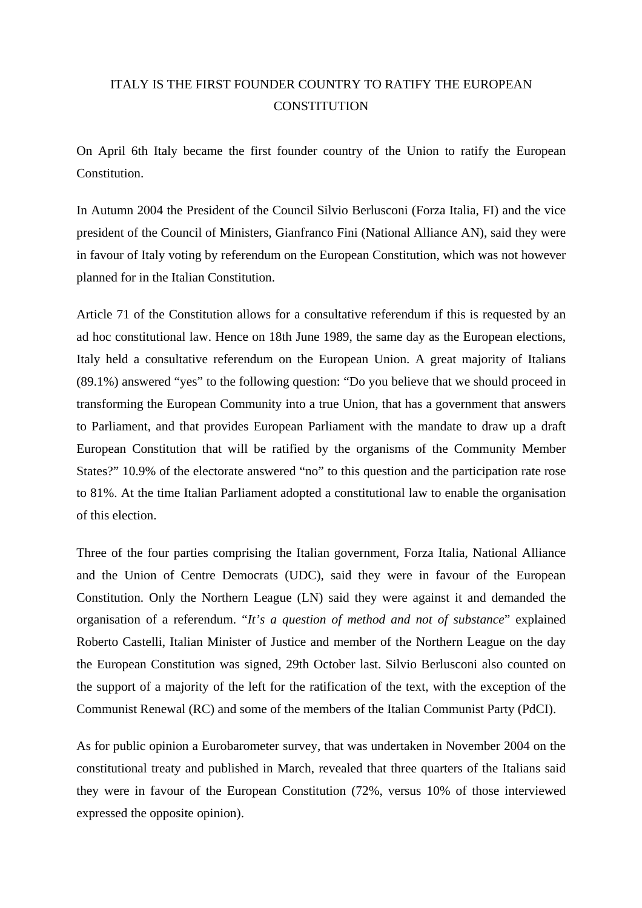## ITALY IS THE FIRST FOUNDER COUNTRY TO RATIFY THE EUROPEAN **CONSTITUTION**

On April 6th Italy became the first founder country of the Union to ratify the European Constitution.

In Autumn 2004 the President of the Council Silvio Berlusconi (Forza Italia, FI) and the vice president of the Council of Ministers, Gianfranco Fini (National Alliance AN), said they were in favour of Italy voting by referendum on the European Constitution, which was not however planned for in the Italian Constitution.

Article 71 of the Constitution allows for a consultative referendum if this is requested by an ad hoc constitutional law. Hence on 18th June 1989, the same day as the European elections, Italy held a consultative referendum on the European Union. A great majority of Italians (89.1%) answered "yes" to the following question: "Do you believe that we should proceed in transforming the European Community into a true Union, that has a government that answers to Parliament, and that provides European Parliament with the mandate to draw up a draft European Constitution that will be ratified by the organisms of the Community Member States?" 10.9% of the electorate answered "no" to this question and the participation rate rose to 81%. At the time Italian Parliament adopted a constitutional law to enable the organisation of this election.

Three of the four parties comprising the Italian government, Forza Italia, National Alliance and the Union of Centre Democrats (UDC), said they were in favour of the European Constitution. Only the Northern League (LN) said they were against it and demanded the organisation of a referendum. "*It's a question of method and not of substance*" explained Roberto Castelli, Italian Minister of Justice and member of the Northern League on the day the European Constitution was signed, 29th October last. Silvio Berlusconi also counted on the support of a majority of the left for the ratification of the text, with the exception of the Communist Renewal (RC) and some of the members of the Italian Communist Party (PdCI).

As for public opinion a Eurobarometer survey, that was undertaken in November 2004 on the constitutional treaty and published in March, revealed that three quarters of the Italians said they were in favour of the European Constitution (72%, versus 10% of those interviewed expressed the opposite opinion).